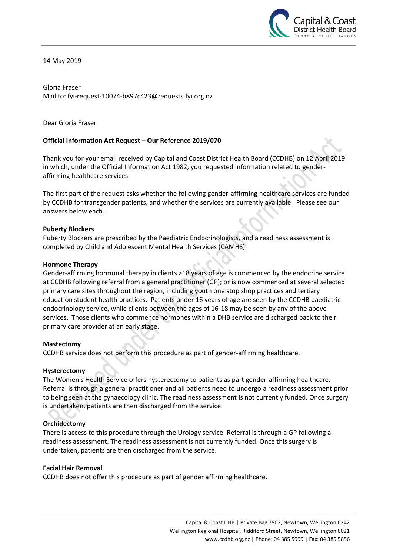

14 May 2019

Gloria Fraser Mail to: fyi-request-10074-b897c423@requests.fyi.org.nz

Dear Gloria Fraser

### **Official Information Act Request – Our Reference 2019/070**

Thank you for your email received by Capital and Coast District Health Board (CCDHB) on 12 April 2019 in which, under the Official Information Act 1982, you requested information related to genderaffirming healthcare services.

The first part of the request asks whether the following gender-affirming healthcare services are funded by CCDHB for transgender patients, and whether the services are currently available. Please see our answers below each.

#### **Puberty Blockers**

Puberty Blockers are prescribed by the Paediatric Endocrinologists, and a readiness assessment is completed by Child and Adolescent Mental Health Services (CAMHS).

#### **Hormone Therapy**

Gender-affirming hormonal therapy in clients >18 years of age is commenced by the endocrine service at CCDHB following referral from a general practitioner (GP); or is now commenced at several selected primary care sites throughout the region, including youth one stop shop practices and tertiary education student health practices. Patients under 16 years of age are seen by the CCDHB paediatric endocrinology service, while clients between the ages of 16-18 may be seen by any of the above services. Those clients who commence hormones within a DHB service are discharged back to their primary care provider at an early stage.

### **Mastectomy**

CCDHB service does not perform this procedure as part of gender-affirming healthcare.

#### **Hysterectomy**

The Women's Health Service offers hysterectomy to patients as part gender-affirming healthcare. Referral is through a general practitioner and all patients need to undergo a readiness assessment prior to being seen at the gynaecology clinic. The readiness assessment is not currently funded. Once surgery is undertaken, patients are then discharged from the service.

### **Orchidectomy**

There is access to this procedure through the Urology service. Referral is through a GP following a readiness assessment. The readiness assessment is not currently funded. Once this surgery is undertaken, patients are then discharged from the service.

#### **Facial Hair Removal**

CCDHB does not offer this procedure as part of gender affirming healthcare.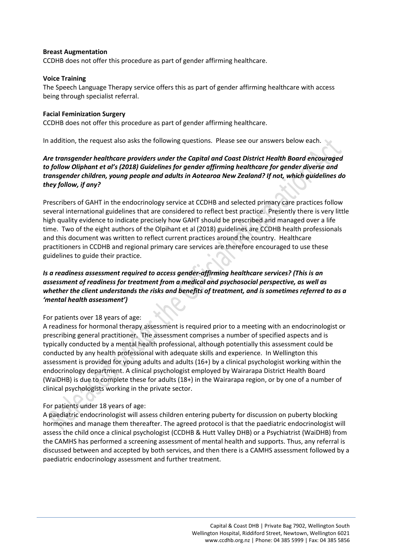### **Breast Augmentation**

CCDHB does not offer this procedure as part of gender affirming healthcare.

### **Voice Training**

The Speech Language Therapy service offers this as part of gender affirming healthcare with access being through specialist referral.

### **Facial Feminization Surgery**

CCDHB does not offer this procedure as part of gender affirming healthcare.

In addition, the request also asks the following questions. Please see our answers below each.

# *Are transgender healthcare providers under the Capital and Coast District Health Board encouraged to follow Oliphant et al's (2018) Guidelines for gender affirming healthcare for gender diverse and transgender children, young people and adults in Aotearoa New Zealand? If not, which guidelines do they follow, if any?*

Prescribers of GAHT in the endocrinology service at CCDHB and selected primary care practices follow several international guidelines that are considered to reflect best practice. Presently there is very little high quality evidence to indicate precisely how GAHT should be prescribed and managed over a life time. Two of the eight authors of the Olpihant et al (2018) guidelines are CCDHB health professionals and this document was written to reflect current practices around the country. Healthcare practitioners in CCDHB and regional primary care services are therefore encouraged to use these guidelines to guide their practice.

# *Is a readiness assessment required to access gender-affirming healthcare services? (This is an assessment of readiness for treatment from a medical and psychosocial perspective, as well as whether the client understands the risks and benefits of treatment, and is sometimes referred to as a 'mental health assessment')*

### For patients over 18 years of age:

A readiness for hormonal therapy assessment is required prior to a meeting with an endocrinologist or prescribing general practitioner. The assessment comprises a number of specified aspects and is typically conducted by a mental health professional, although potentially this assessment could be conducted by any health professional with adequate skills and experience. In Wellington this assessment is provided for young adults and adults (16+) by a clinical psychologist working within the endocrinology department. A clinical psychologist employed by Wairarapa District Health Board (WaiDHB) is due to complete these for adults (18+) in the Wairarapa region, or by one of a number of clinical psychologists working in the private sector.

### For patients under 18 years of age:

A paediatric endocrinologist will assess children entering puberty for discussion on puberty blocking hormones and manage them thereafter. The agreed protocol is that the paediatric endocrinologist will assess the child once a clinical psychologist (CCDHB & Hutt Valley DHB) or a Psychiatrist (WaiDHB) from the CAMHS has performed a screening assessment of mental health and supports. Thus, any referral is discussed between and accepted by both services, and then there is a CAMHS assessment followed by a paediatric endocrinology assessment and further treatment.